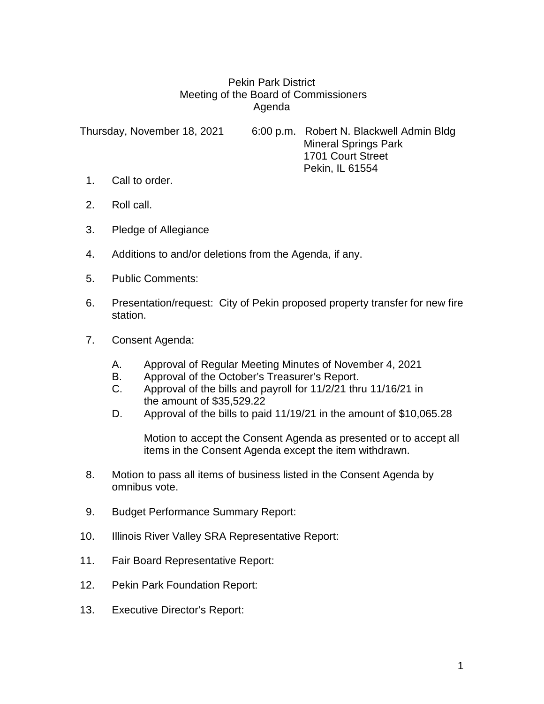## Pekin Park District Meeting of the Board of Commissioners Agenda

Thursday, November 18, 2021 6:00 p.m. Robert N. Blackwell Admin Bldg Mineral Springs Park 1701 Court Street Pekin, IL 61554

- 1. Call to order.
- 2. Roll call.
- 3. Pledge of Allegiance
- 4. Additions to and/or deletions from the Agenda, if any.
- 5. Public Comments:
- 6. Presentation/request: City of Pekin proposed property transfer for new fire station.
- 7. Consent Agenda:
	- A. Approval of Regular Meeting Minutes of November 4, 2021
	- B. Approval of the October's Treasurer's Report.
	- C. Approval of the bills and payroll for 11/2/21 thru 11/16/21 in the amount of \$35,529.22
	- D. Approval of the bills to paid 11/19/21 in the amount of \$10,065.28

Motion to accept the Consent Agenda as presented or to accept all items in the Consent Agenda except the item withdrawn.

- 8. Motion to pass all items of business listed in the Consent Agenda by omnibus vote.
- 9. Budget Performance Summary Report:
- 10. Illinois River Valley SRA Representative Report:
- 11. Fair Board Representative Report:
- 12. Pekin Park Foundation Report:
- 13. Executive Director's Report: